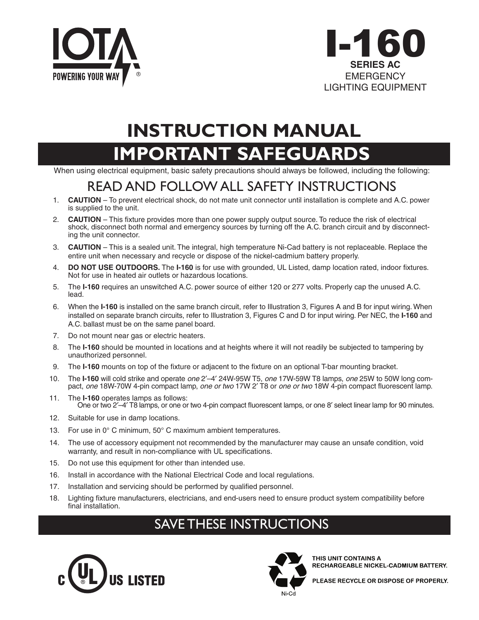



# **IMPORTANT SAFEGUARDS INSTRUCTION MANUAL**

When using electrical equipment, basic safety precautions should always be followed, including the following:

# READ AND FOLLOW ALL SAFETY INSTRUCTIONS

- 1. **CAUTION**  To prevent electrical shock, do not mate unit connector until installation is complete and A.C. power is supplied to the unit.
- 2. **CAUTION**  This fixture provides more than one power supply output source. To reduce the risk of electrical shock, disconnect both normal and emergency sources by turning off the A.C. branch circuit and by disconnecting the unit connector.
- 3. **CAUTION**  This is a sealed unit. The integral, high temperature Ni-Cad battery is not replaceable. Replace the entire unit when necessary and recycle or dispose of the nickel-cadmium battery properly.
- 4. **DO NOT USE OUTDOORS.** The **I-160** is for use with grounded, UL Listed, damp location rated, indoor fixtures. Not for use in heated air outlets or hazardous locations.
- 5. The **I-160** requires an unswitched A.C. power source of either 120 or 277 volts. Properly cap the unused A.C. lead.
- 6. When the **I-160** is installed on the same branch circuit, refer to Illustration 3, Figures A and B for input wiring. When installed on separate branch circuits, refer to Illustration 3, Figures C and D for input wiring. Per NEC, the **I-160** and A.C. ballast must be on the same panel board.
- 7. Do not mount near gas or electric heaters.
- 8. The **I-160** should be mounted in locations and at heights where it will not readily be subjected to tampering by unauthorized personnel.
- 9. The **I-160** mounts on top of the fixture or adjacent to the fixture on an optional T-bar mounting bracket.
- 10. The **I-160** will cold strike and operate *one* 2′–4′ 24W-95W T5, *one* 17W-59W T8 lamps, *one* 25W to 50W long compact, *one* 18W-70W 4-pin compact lamp, *one or two* 17W 2′ T8 or *one or two* 18W 4-pin compact fluorescent lamp.
- 11. The **I-160** operates lamps as follows: One or two 2′–4′ T8 lamps, or one or two 4-pin compact fluorescent lamps, or one 8′ select linear lamp for 90 minutes.
- 12. Suitable for use in damp locations.
- 13. For use in 0° C minimum, 50° C maximum ambient temperatures.
- 14. The use of accessory equipment not recommended by the manufacturer may cause an unsafe condition, void warranty, and result in non-compliance with UL specifications.
- 15. Do not use this equipment for other than intended use.
- 16. Install in accordance with the National Electrical Code and local regulations.
- 17. Installation and servicing should be performed by qualified personnel.
- 18. Lighting fixture manufacturers, electricians, and end-users need to ensure product system compatibility before final installation.

## SAVE THESE INSTRUCTIONS





THIS UNIT CONTAINS A RECHARGEABLE NICKEL-CADMIUM BATTERY.

PLEASE RECYCLE OR DISPOSE OF PROPERLY.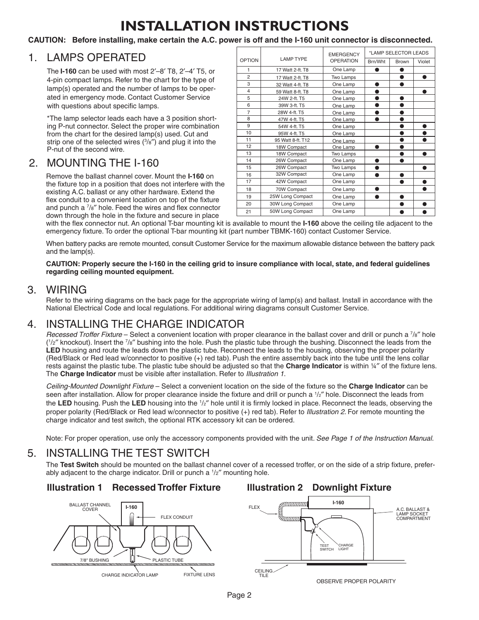# **INSTALLATION INSTRUCTIONS**

### **CAUTION: Before installing, make certain the A.C. power is off and the I-160 unit connector is disconnected.**

## 1. LAMPS OPERATED

 The **I-160** can be used with most 2′–8′ T8, 2′–4′ T5, or 4-pin compact lamps. Refer to the chart for the type of lamp(s) operated and the number of lamps to be operated in emergency mode. Contact Customer Service with questions about specific lamps.

\*The lamp selector leads each have a 3 position shorting P-nut connector. Select the proper wire combination from the chart for the desired lamp(s) used. Cut and strip one of the selected wires (3 /8″) and plug it into the P-nut of the second wire.

## 2. MOUNTING THE I-160

 Remove the ballast channel cover. Mount the **I-160** on the fixture top in a position that does not interfere with the existing A.C. ballast or any other hardware. Extend the flex conduit to a convenient location on top of the fixture and punch a  $\frac{7}{8}$  hole. Feed the wires and flex connector down through the hole in the fixture and secure in place

| OPTION         | <b>LAMP TYPE</b>  | <b>EMERGENCY</b><br><b>OPERATION</b> | *LAMP SELECTOR LEADS |              |        |
|----------------|-------------------|--------------------------------------|----------------------|--------------|--------|
|                |                   |                                      | Brn/Wht              | <b>Brown</b> | Violet |
| 1              | 17 Watt 2-ft. T8  | One Lamp                             |                      |              |        |
| $\overline{2}$ | 17 Watt 2-ft. T8  | Two Lamps                            |                      | ●            |        |
| 3              | 32 Watt 4-ft. T8  | One Lamp                             |                      |              |        |
| $\overline{4}$ | 59 Watt 8-ft. T8  | One Lamp                             |                      |              |        |
| 5              | 24W 2-ft. T5      | One Lamp                             |                      |              |        |
| 6              | 39W 3-ft. T5      | One Lamp                             |                      |              |        |
| $\overline{7}$ | 28W 4-ft. T5      | One Lamp                             |                      |              |        |
| 8              | 47W 4-ft. T5      | One Lamp                             |                      |              |        |
| 9              | 54W 4-ft. T5      | One Lamp                             |                      |              |        |
| 10             | 95W 4-ft. T5      | One Lamp                             |                      |              |        |
| 11             | 95 Watt 8-ft. T12 | One Lamp                             |                      |              |        |
| 12             | 18W Compact       | One Lamp                             |                      |              |        |
| 13             | 18W Compact       | Two Lamps                            |                      |              |        |
| 14             | 26W Compact       | One Lamp                             |                      |              |        |
| 15             | 26W Compact       | Two Lamps                            |                      |              |        |
| 16             | 32W Compact       | One Lamp                             |                      |              |        |
| 17             | 42W Compact       | One Lamp                             |                      |              |        |
| 18             | 70W Compact       | One Lamp                             |                      |              |        |
| 19             | 25W Long Compact  | One Lamp                             |                      |              |        |
| 20             | 30W Long Compact  | One Lamp                             |                      |              |        |
| 21             | 50W Long Compact  | One Lamp                             |                      |              |        |

with the flex connector nut. An optional T-bar mounting kit is available to mount the **I-160** above the ceiling tile adjacent to the emergency fixture. To order the optional T-bar mounting kit (part number TBMK-160) contact Customer Service.

 When battery packs are remote mounted, consult Customer Service for the maximum allowable distance between the battery pack and the lamp(s).

 **CAUTION: Properly secure the I-160 in the ceiling grid to insure compliance with local, state, and federal guidelines regarding ceiling mounted equipment.**

3. WIRING<br>Refer to the wiring diagrams on the back page for the appropriate wiring of lamp(s) and ballast. Install in accordance with the National Electrical Code and local regulations. For additional wiring diagrams consult Customer Service.

4. **INSTALLING THE CHARGE INDICATOR**<br>*Recessed Troffer Fixture* – Select a convenient location with proper clearance in the ballast cover and drill or punch a 7/8" hole  $(1/z<sup>''</sup>$  knockout). Insert the  $7/s''$  bushing into the hole. Push the plastic tube through the bushing. Disconnect the leads from the **LED** housing and route the leads down the plastic tube. Reconnect the leads to the housing, observing the proper polarity (Red/Black or Red lead w/connector to positive (+) red tab). Push the entire assembly back into the tube until the lens collar rests against the plastic tube. The plastic tube should be adjusted so that the **Charge Indicator** is within ¼″ of the fixture lens. The **Charge Indicator** must be visible after installation. Refer to *Illustration 1*.

 *Ceiling-Mounted Downlight Fixture* – Select a convenient location on the side of the fixture so the **Charge Indicator** can be seen after installation. Allow for proper clearance inside the fixture and drill or punch a  $1/z''$  hole. Disconnect the leads from the LED housing. Push the LED housing into the <sup>1</sup>/<sub>2</sub>" hole until it is firmly locked in place. Reconnect the leads, observing the proper polarity (Red/Black or Red lead w/connector to positive (+) red tab). Refer to *Illustration 2*. For remote mounting the charge indicator and test switch, the optional RTK accessory kit can be ordered.

Note: For proper operation, use only the accessory components provided with the unit*. See Page 1 of the Instruction Manual.*

5. INSTALLING THE TEST SWITCH The **Test Switch** should be mounted on the ballast channel cover of a recessed troffer, or on the side of a strip fixture, preferably adjacent to the charge indicator. Drill or punch a  $1/z''$  mounting hole.

## **Illustration 1 Recessed Troffer Fixture Illustration 2 Downlight Fixture**



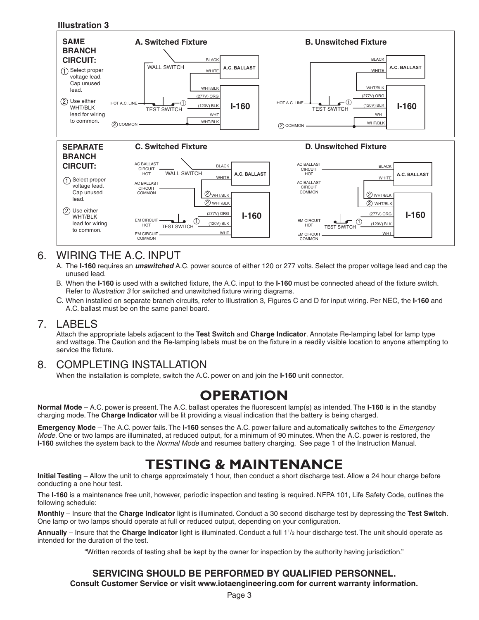

### 6. WIRING THE A.C. INPUT 2  $\mathbf T$  either WHT/BLK leads for wireless to common  $\mathbf T$

- A. The **I-160** requires an *unswitched* A.C. power source of either 120 or 277 volts. Select the proper voltage lead and cap the unused lead.
- B. When the **I-160** is used with a switched fixture, the A.C. input to the **I-160** must be connected ahead of the fixture switch. Refer to *Illustration 3* for switched and unswitched fixture wiring diagrams.
- C. When installed on separate branch circuits, refer to Illustration 3, Figures C and D for input wiring. Per NEC, the **I-160** and A.C. ballast must be on the same panel board.

7. LABELS Attach the appropriate labels adjacent to the **Test Switch** and **Charge Indicator**. Annotate Re-lamping label for lamp type and wattage. The Caution and the Re-lamping labels must be on the fixture in a readily visible location to anyone attempting to service the fixture.

## 8. COMPLETING INSTALLATION

When the installation is complete, switch the A.C. power on and join the **I-160** unit connector.

## **OPERATION**

**Normal Mode** – A.C. power is present. The A.C. ballast operates the fluorescent lamp(s) as intended. The **I-160** is in the standby charging mode. The **Charge Indicator** will be lit providing a visual indication that the battery is being charged.

**Emergency Mode** – The A.C. power fails. The **I-160** senses the A.C. power failure and automatically switches to the *Emergency Mode*. One or two lamps are illuminated, at reduced output, for a minimum of 90 minutes. When the A.C. power is restored, the **I-160** switches the system back to the *Normal Mode* and resumes battery charging. See page 1 of the Instruction Manual.

## **TESTING & MAINTENANCE**

**Initial Testing** – Allow the unit to charge approximately 1 hour, then conduct a short discharge test. Allow a 24 hour charge before conducting a one hour test.

The **I-160** is a maintenance free unit, however, periodic inspection and testing is required. NFPA 101, Life Safety Code, outlines the following schedule:

**Monthly** – Insure that the **Charge Indicator** light is illuminated. Conduct a 30 second discharge test by depressing the **Test Switch**. One lamp or two lamps should operate at full or reduced output, depending on your configuration.

**Annually** – Insure that the **Charge Indicator** light is illuminated. Conduct a full 11 /2 hour discharge test. The unit should operate as intended for the duration of the test.

"Written records of testing shall be kept by the owner for inspection by the authority having jurisdiction."

## **SERVICING SHOULD BE PERFORMED BY QUALIFIED PERSONNEL.**

**Consult Customer Service or visit www.iotaengineering.com for current warranty information.**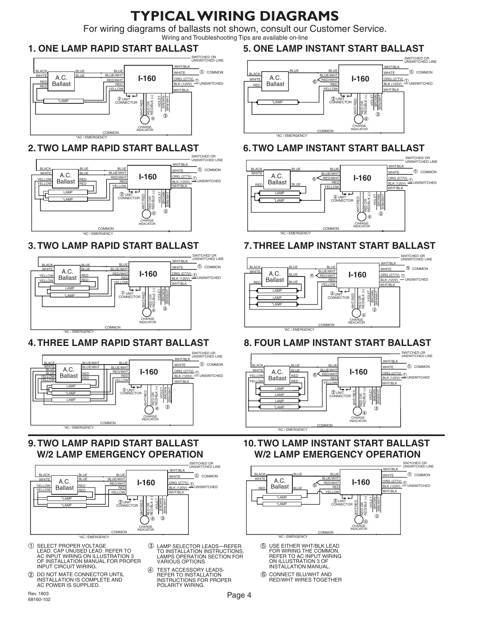# **TYPICAL WIRING DIAGRAMS**

For wiring diagrams of ballasts not shown, consult our Customer Service. Wiring and Troubleshooting Tips are available on-line

## **ONE LAMP RAPID START BALLAST 1. ONE LAMP RAPID START BALLAST**



## 2. TWO LAMP RAPID START BALLAST



### **3. TWO LAMP RAPID START BALLAST I. TWO LAMP RAPID START BALLAST**



## 4. THREE LAMP RAPID START BALLAST



### **W/2 LAMP EMERGENCY OPERATION** 9. TWO LAMP RAPID START BALLAST  $\sim$   $\sim$   $\sim$   $\sim$   $\sim$   $\sim$   $\sim$ **W/2 LAMP EMERGENCY OPERATION**  $R = 0$  $\mathbf{r}$  and  $\mathbf{r}$



- $\bigcirc$ SELECT PROPER VOLTAGE LEAD. CAP UNUSED LEAD.<br>AC INPUT WIRING ON ILL<br>OF INSTALLATION MANU EFER TO<br>TRATION 3 LAM<br>TOR PROPER VA LEAD. CAP UNUSED LEAD. REFER TO AC INPUT WIRING ON ILLUSTRATION 3 OF INSTALLATION MANUAL FOR PROPER INPUT CIRCUIT WIRING.
- DO NOT MATE CONNECTOR UNTIL INSTALLATION IS COMPLETE AND AC POWER IS SUPPLIED.
- 3 LAMP SELECTOR LEADS—REFER EAMIT SELECTON LEADS—NET EN<br>TO INSTALLATION INSTRUCTIONS,<br>LAMPS OPERATION SECTION FOR VARIOUS OPTIONS
- $\circledA$ REFER TO INSTALLATION<br>INSTRUCTIONS FOR PROPER<br>POLARITY WIRING. TEST ACCESSORY LEADS-

## **5. ONE LAMP INSTANT START BALLAST ONE LAMP INSTANT START BALLAST**



## 6. TWO LAMP INSTANT START BALLAST



## 7. THREE LAMP INSTANT START BALLAST



## 8. FOUR LAMP INSTANT START BALLAST



### ). TWO LAMP INSTANT STAF W/2 LAMP EN RGENCY **10. TWO LAMP INSTANT START BALLAST W/2 LAMP EMERGENCY OPERATION**



- FOR WIRING THE COMMON.<br>REFER TO AC INPUT WIRING ON ILLUSTRATION<br>INSTALLATION MA ON ILLUSTRATION 3 OF<br>INSTALLATION MANUAL. 5 USE EITHER WHT/BLK LEAD
- $6$  CONNECT BLU/WHT AND RED/WHT WIRES TOGETHER

Rev. 1803 68160-102